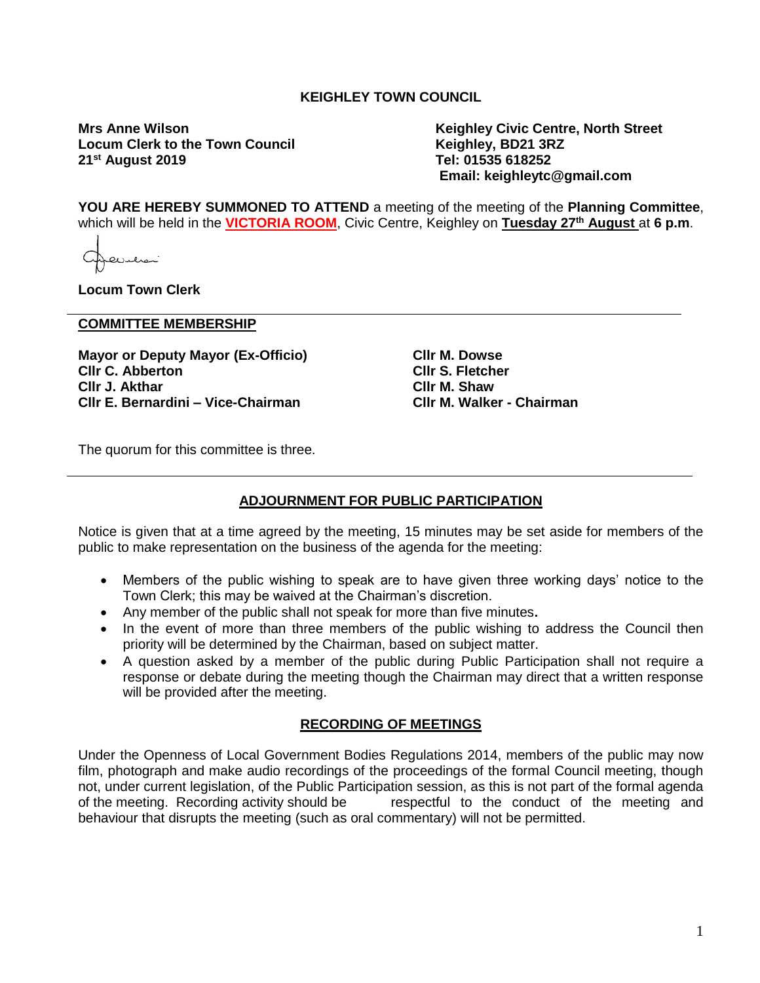## **KEIGHLEY TOWN COUNCIL**

**Locum Clerk to the Town Council 21st August 2019 Tel: 01535 618252**

**Mrs Anne Wilson Keighley Civic Centre, North Street Email: keighleytc@gmail.com**

**YOU ARE HEREBY SUMMONED TO ATTEND** a meeting of the meeting of the **Planning Committee**, which will be held in the **VICTORIA ROOM**, Civic Centre, Keighley on **Tuesday 27th August** at **6 p.m**.

**Locum Town Clerk**

#### **COMMITTEE MEMBERSHIP**

**Mayor or Deputy Mayor (Ex-Officio) Cllr C. Abberton Cllr J. Akthar Cllr E. Bernardini – Vice-Chairman**

**Cllr M. Dowse Cllr S. Fletcher Cllr M. Shaw Cllr M. Walker - Chairman**

The quorum for this committee is three.

## **ADJOURNMENT FOR PUBLIC PARTICIPATION**

Notice is given that at a time agreed by the meeting, 15 minutes may be set aside for members of the public to make representation on the business of the agenda for the meeting:

- Members of the public wishing to speak are to have given three working days' notice to the Town Clerk; this may be waived at the Chairman's discretion.
- Any member of the public shall not speak for more than five minutes**.**
- In the event of more than three members of the public wishing to address the Council then priority will be determined by the Chairman, based on subject matter.
- A question asked by a member of the public during Public Participation shall not require a response or debate during the meeting though the Chairman may direct that a written response will be provided after the meeting.

#### **RECORDING OF MEETINGS**

Under the Openness of Local Government Bodies Regulations 2014, members of the public may now film, photograph and make audio recordings of the proceedings of the formal Council meeting, though not, under current legislation, of the Public Participation session, as this is not part of the formal agenda of the meeting. Recording activity should be respectful to the conduct of the meeting and behaviour that disrupts the meeting (such as oral commentary) will not be permitted.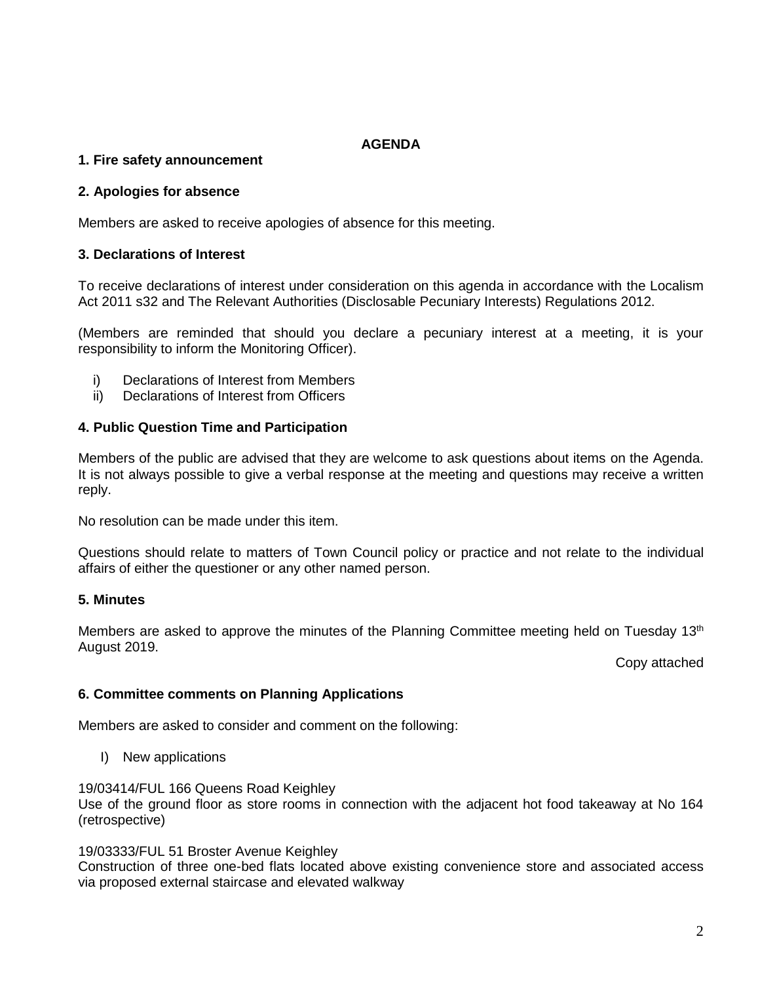# **AGENDA**

## **1. Fire safety announcement**

#### **2. Apologies for absence**

Members are asked to receive apologies of absence for this meeting.

#### **3. Declarations of Interest**

To receive declarations of interest under consideration on this agenda in accordance with the Localism Act 2011 s32 and The Relevant Authorities (Disclosable Pecuniary Interests) Regulations 2012.

(Members are reminded that should you declare a pecuniary interest at a meeting, it is your responsibility to inform the Monitoring Officer).

- i) Declarations of Interest from Members
- ii) Declarations of Interest from Officers

## **4. Public Question Time and Participation**

Members of the public are advised that they are welcome to ask questions about items on the Agenda. It is not always possible to give a verbal response at the meeting and questions may receive a written reply.

No resolution can be made under this item.

Questions should relate to matters of Town Council policy or practice and not relate to the individual affairs of either the questioner or any other named person.

## **5. Minutes**

Members are asked to approve the minutes of the Planning Committee meeting held on Tuesday 13<sup>th</sup> August 2019.

Copy attached

## **6. Committee comments on Planning Applications**

Members are asked to consider and comment on the following:

I) New applications

19/03414/FUL 166 Queens Road Keighley

Use of the ground floor as store rooms in connection with the adjacent hot food takeaway at No 164 (retrospective)

19/03333/FUL 51 Broster Avenue Keighley

Construction of three one-bed flats located above existing convenience store and associated access via proposed external staircase and elevated walkway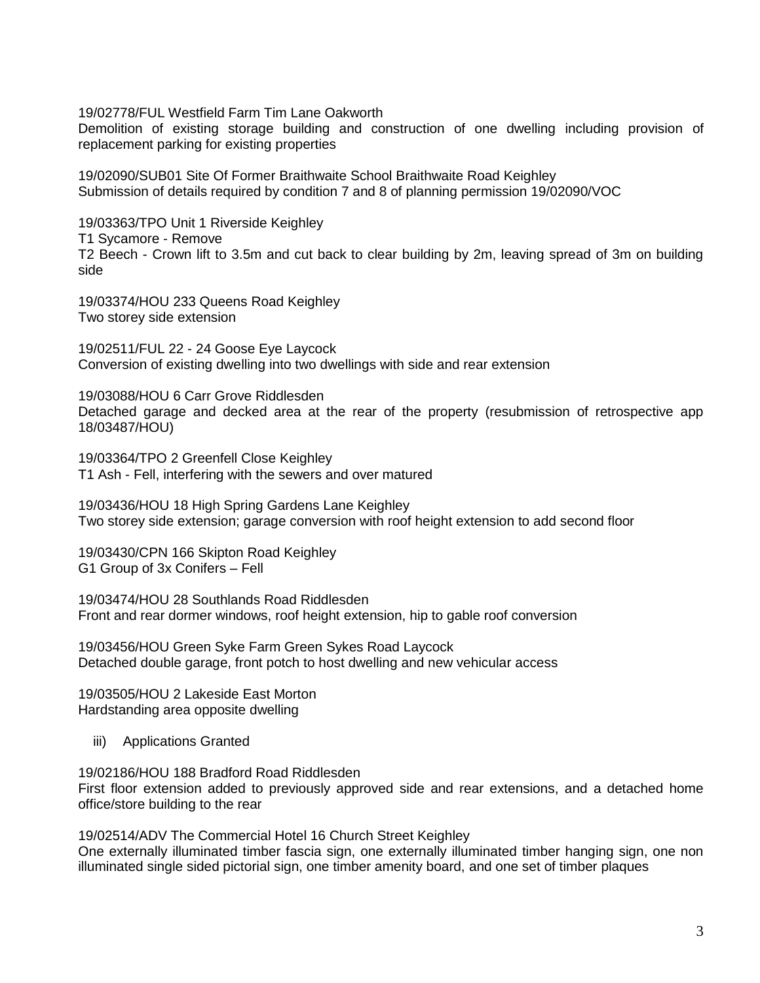19/02778/FUL Westfield Farm Tim Lane Oakworth

Demolition of existing storage building and construction of one dwelling including provision of replacement parking for existing properties

19/02090/SUB01 Site Of Former Braithwaite School Braithwaite Road Keighley Submission of details required by condition 7 and 8 of planning permission 19/02090/VOC

19/03363/TPO Unit 1 Riverside Keighley T1 Sycamore - Remove T2 Beech - Crown lift to 3.5m and cut back to clear building by 2m, leaving spread of 3m on building side

19/03374/HOU 233 Queens Road Keighley Two storey side extension

19/02511/FUL 22 - 24 Goose Eye Laycock Conversion of existing dwelling into two dwellings with side and rear extension

19/03088/HOU 6 Carr Grove Riddlesden Detached garage and decked area at the rear of the property (resubmission of retrospective app 18/03487/HOU)

19/03364/TPO 2 Greenfell Close Keighley T1 Ash - Fell, interfering with the sewers and over matured

19/03436/HOU 18 High Spring Gardens Lane Keighley Two storey side extension; garage conversion with roof height extension to add second floor

19/03430/CPN 166 Skipton Road Keighley G1 Group of 3x Conifers – Fell

19/03474/HOU 28 Southlands Road Riddlesden Front and rear dormer windows, roof height extension, hip to gable roof conversion

19/03456/HOU Green Syke Farm Green Sykes Road Laycock Detached double garage, front potch to host dwelling and new vehicular access

19/03505/HOU 2 Lakeside East Morton Hardstanding area opposite dwelling

iii) Applications Granted

19/02186/HOU 188 Bradford Road Riddlesden First floor extension added to previously approved side and rear extensions, and a detached home office/store building to the rear

19/02514/ADV The Commercial Hotel 16 Church Street Keighley One externally illuminated timber fascia sign, one externally illuminated timber hanging sign, one non illuminated single sided pictorial sign, one timber amenity board, and one set of timber plaques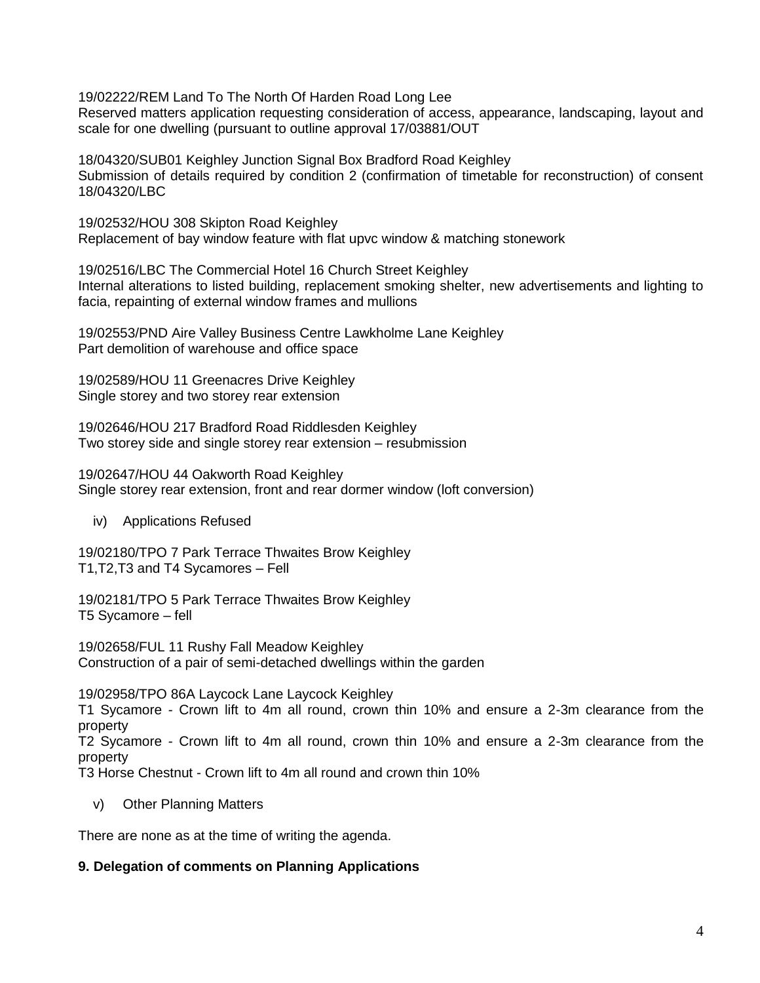19/02222/REM Land To The North Of Harden Road Long Lee

Reserved matters application requesting consideration of access, appearance, landscaping, layout and scale for one dwelling (pursuant to outline approval 17/03881/OUT

18/04320/SUB01 Keighley Junction Signal Box Bradford Road Keighley Submission of details required by condition 2 (confirmation of timetable for reconstruction) of consent 18/04320/LBC

19/02532/HOU 308 Skipton Road Keighley Replacement of bay window feature with flat upvc window & matching stonework

19/02516/LBC The Commercial Hotel 16 Church Street Keighley Internal alterations to listed building, replacement smoking shelter, new advertisements and lighting to facia, repainting of external window frames and mullions

19/02553/PND Aire Valley Business Centre Lawkholme Lane Keighley Part demolition of warehouse and office space

19/02589/HOU 11 Greenacres Drive Keighley Single storey and two storey rear extension

19/02646/HOU 217 Bradford Road Riddlesden Keighley Two storey side and single storey rear extension – resubmission

19/02647/HOU 44 Oakworth Road Keighley Single storey rear extension, front and rear dormer window (loft conversion)

iv) Applications Refused

19/02180/TPO 7 Park Terrace Thwaites Brow Keighley T1,T2,T3 and T4 Sycamores – Fell

19/02181/TPO 5 Park Terrace Thwaites Brow Keighley T5 Sycamore – fell

19/02658/FUL 11 Rushy Fall Meadow Keighley Construction of a pair of semi-detached dwellings within the garden

19/02958/TPO 86A Laycock Lane Laycock Keighley

T1 Sycamore - Crown lift to 4m all round, crown thin 10% and ensure a 2-3m clearance from the property

T2 Sycamore - Crown lift to 4m all round, crown thin 10% and ensure a 2-3m clearance from the property

T3 Horse Chestnut - Crown lift to 4m all round and crown thin 10%

v) Other Planning Matters

There are none as at the time of writing the agenda.

## **9. Delegation of comments on Planning Applications**